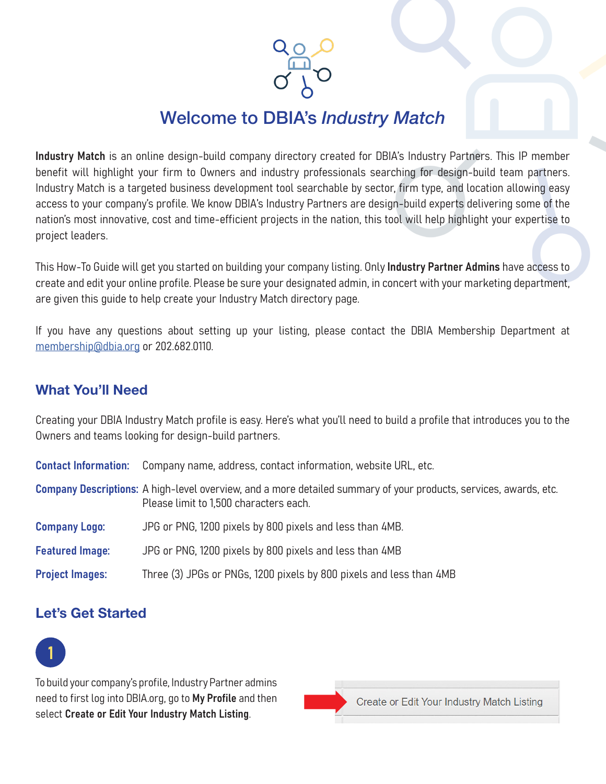Welcome to DBIA's *Industry Match*

Industry Match is an online design-build company directory created for DBIA's Industry Partners. This IP member benefit will highlight your firm to Owners and industry professionals searching for design-build team partners. Industry Match is a targeted business development tool searchable by sector, firm type, and location allowing easy access to your company's profile. We know DBIA's Industry Partners are design-build experts delivering some of the nation's most innovative, cost and time-efficient projects in the nation, this tool will help highlight your expertise to project leaders.

This How-To Guide will get you started on building your company listing. Only **Industry Partner Admins** have access to create and edit your online profile. Please be sure your designated admin, in concert with your marketing department, are given this guide to help create your Industry Match directory page.

If you have any questions about setting up your listing, please contact the DBIA Membership Department at [membership@dbia.org](mailto:membership%40dbia.org?subject=) or 202.682.0110.

#### What You'll Need

Creating your DBIA Industry Match profile is easy. Here's what you'll need to build a profile that introduces you to the Owners and teams looking for design-build partners.

| <b>Contact Information:</b> Company name, address, contact information, website URL, etc. |  |  |  |  |
|-------------------------------------------------------------------------------------------|--|--|--|--|
|-------------------------------------------------------------------------------------------|--|--|--|--|

Company Descriptions: A high-level overview, and a more detailed summary of your products, services, awards, etc. Please limit to 1,500 characters each.

- Company Logo: JPG or PNG, 1200 pixels by 800 pixels and less than 4MB.
- Featured Image: JPG or PNG, 1200 pixels by 800 pixels and less than 4MB
- Project Images: Three (3) JPGs or PNGs, 1200 pixels by 800 pixels and less than 4MB

### Let's Get Started



To build your company's profile, Industry Partner admins need to first log into DBIA.org, go to My Profile and then select Create or Edit Your Industry Match Listing.

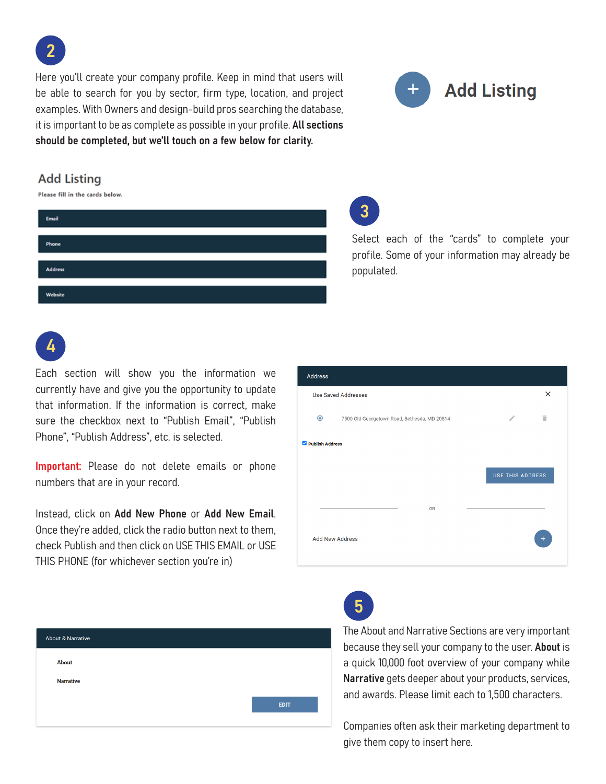Here you'll create your company profile. Keep in mind that users will be able to search for you by sector, firm type, location, and project examples. With Owners and design-build pros searching the database, it is important to be as complete as possible in your profile. All sections should be completed, but we'll touch on a few below for clarity.



Select each of the "cards" to complete your profile. Some of your information may already be

#### **Add Listing**

2

Please fill in the cards below.

| Phone<br><b>Address</b> | Email |  |
|-------------------------|-------|--|
|                         |       |  |
|                         |       |  |
| Website                 |       |  |

4

Each section will show you the information we currently have and give you the opportunity to update that information. If the information is correct, make sure the checkbox next to "Publish Email", "Publish Phone", "Publish Address", etc. is selected.

Important: Please do not delete emails or phone numbers that are in your record.

Instead, click on Add New Phone or Add New Email. Once they're added, click the radio button next to them, check Publish and then click on USE THIS EMAIL or USE THIS PHONE (for whichever section you're in)

| Address                |                                                                        |          |
|------------------------|------------------------------------------------------------------------|----------|
|                        | <b>Use Saved Addresses</b>                                             | $\times$ |
| $\bullet$              | $\mathcal{S}^{\prime}$<br>7500 Old Georgetown Road, Bethesda, MD 20814 | n        |
| Publish Address        |                                                                        |          |
|                        | <b>USE THIS ADDRESS</b>                                                |          |
|                        | <b>OR</b>                                                              |          |
| <b>Add New Address</b> |                                                                        | $+$      |

| <b>About &amp; Narrative</b> |  |             |
|------------------------------|--|-------------|
| About                        |  |             |
| <b>Narrative</b>             |  |             |
|                              |  | <b>EDIT</b> |
|                              |  |             |

5

The About and Narrative Sections are very important because they sell your company to the user. About is a quick 10,000 foot overview of your company while Narrative gets deeper about your products, services, and awards. Please limit each to 1,500 characters.

Companies often ask their marketing department to give them copy to insert here.



populated.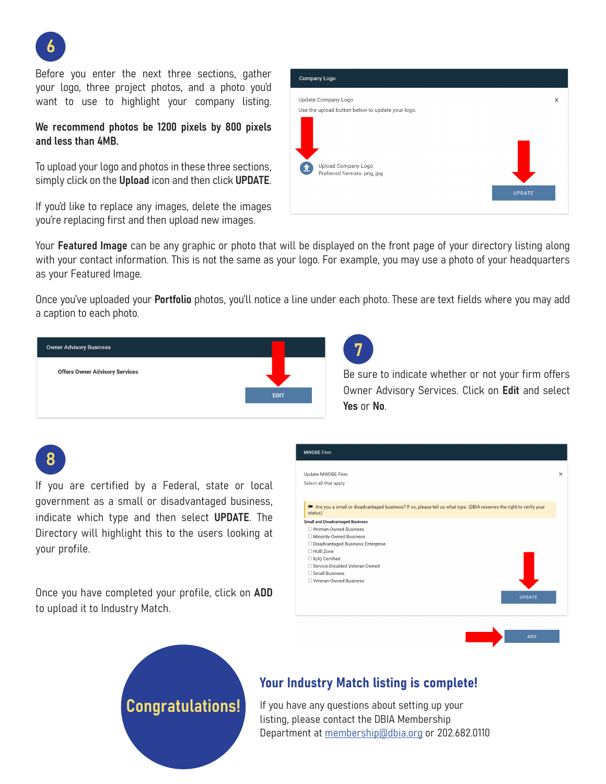

Before you enter the next three sections, gather your logo, three project photos, and a photo you'd want to use to highlight your company listing.

We recommend photos be 1200 pixels by 800 pixels and less than 4MB.

To upload your logo and photos in these three sections, simply click on the Upload icon and then click UPDATE.

If you'd like to replace any images, delete the images you're replacing first and then upload new images.



Your Featured Image can be any graphic or photo that will be displayed on the front page of your directory listing along with your contact information. This is not the same as your logo. For example, you may use a photo of your headquarters as your Featured Image.

Once you've uploaded your **Portfolio** photos, you'll notice a line under each photo. These are text fields where you may add a caption to each photo.

7



Be sure to indicate whether or not your firm offers Owner Advisory Services. Click on Edit and select Yes or No.

# 8

If you are certified by a Federal, state or local government as a small or disadvantaged business, indicate which type and then select UPDATE. The Directory will highlight this to the users looking at your profile.

Once you have completed your profile, click on ADD to upload it to Industry Match.

Congratulations!



### Your Industry Match listing is complete!

If you have any questions about setting up your listing, please contact the DBIA Membership Department at [membership@dbia.org](mailto:membership%40dbia.org?subject=) or 202.682.0110